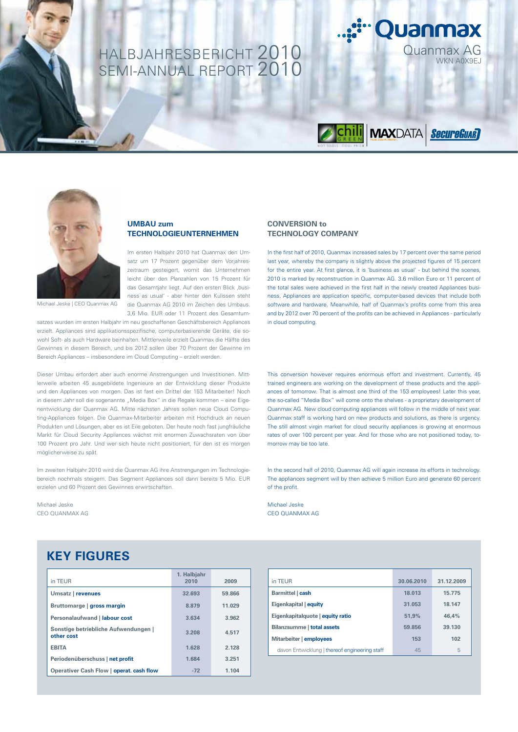## HALBJAHRESBERICHT 2010 Quanmax AG SEMI-ANNUAL REPORT 2010



Quanmax



Michael Jeske | CEO Quanmax AG

#### **UMBAU zum TECHNOLOGIEUNTERNEHMEN**

Im ersten Halbjahr 2010 hat Quanmax den Umsatz um 17 Prozent gegenüber dem Vorjahreszeitraum gesteigert, womit das Unternehmen leicht über den Planzahlen von 15 Prozent für das Gesamtjahr liegt. Auf den ersten Blick ,business as usual' - aber hinter den Kulissen steht die Quanmax AG 2010 im Zeichen des Umbaus. 3,6 Mio. EUR oder 11 Prozent des Gesamtum-

satzes wurden im ersten Halbjahr im neu geschaffenen Geschäftsbereich Appliances erzielt. Appliances sind applikationsspezifische, computerbasierende Geräte, die sowohl Soft- als auch Hardware beinhalten. Mittlerweile erzielt Quanmax die Hälfte des Gewinnes in diesem Bereich, und bis 2012 sollen über 70 Prozent der Gewinne im Bereich Appliances – insbesondere im Cloud Computing – erzielt werden.

Dieser Umbau erfordert aber auch enorme Anstrengungen und Investitionen. Mittlerweile arbeiten 45 ausgebildete Ingenieure an der Entwicklung dieser Produkte und den Appliances von morgen. Das ist fast ein Drittel der 153 Mitarbeiter! Noch in diesem Jahr soll die sogenannte "Media Box" in die Regale kommen – eine Eigenentwicklung der Quanmax AG. Mitte nächsten Jahres sollen neue Cloud Computing-Appliances folgen. Die Quanmax-Mitarbeiter arbeiten mit Hochdruck an neuen Produkten und Lösungen, aber es ist Eile geboten. Der heute noch fast jungfräuliche Markt für Cloud Security Appliances wächst mit enormen Zuwachsraten von über 100 Prozent pro Jahr. Und wer sich heute nicht positioniert, für den ist es morgen möglicherweise zu spät.

Im zweiten Halbjahr 2010 wird die Quanmax AG ihre Anstrengungen im Technologiebereich nochmals steigern. Das Segment Appliances soll dann bereits 5 Mio. EUR erzielen und 60 Prozent des Gewinnes erwirtschaften.

Michael Jeske CEO QUANMAX AG

**CONVERSION to TECHNOLOGY COMPANY**

In the first half of 2010, Quanmax increased sales by 17 percent over the same period last year, whereby the company is slightly above the projected figures of 15 percent for the entire year. At first glance, it is 'business as usual' - but behind the scenes, 2010 is marked by reconstruction in Quanmax AG. 3.6 million Euro or 11 percent of the total sales were achieved in the first half in the newly created Appliances business. Appliances are application specific, computer-based devices that include both software and hardware. Meanwhile, half of Quanmax's profits come from this area and by 2012 over 70 percent of the profits can be achieved in Appliances - particularly in cloud computing.

This conversion however requires enormous effort and investment. Currently, 45 trained engineers are working on the development of these products and the appliances of tomorrow. That is almost one third of the 153 employees! Later this year, the so-called "Media Box" will come onto the shelves - a proprietary development of Quanmax AG. New cloud computing appliances will follow in the middle of next year. Quanmax staff is working hard on new products and solutions, as there is urgency. The still almost virgin market for cloud security appliances is growing at enormous rates of over 100 percent per year. And for those who are not positioned today, tomorrow may be too late.

In the second half of 2010, Quanmax AG will again increase its efforts in technology. The appliances segment will by then achieve 5 million Euro and generate 60 percent of the profit.

Michael Jeske CEO QUANMAX AG

### **KEY FIGURES**

| in TEUR                                            | 1. Halbjahr<br>2010 | 2009   |
|----------------------------------------------------|---------------------|--------|
| Umsatz   revenues                                  | 32.693              | 59.866 |
| Bruttomarge   gross margin                         | 8.879               | 11.029 |
| Personalaufwand   labour cost                      | 3.634               | 3.962  |
| Sonstige betriebliche Aufwendungen  <br>other cost | 3.208               | 4.517  |
| <b>FRITA</b>                                       | 1.628               | 2.128  |
| Periodenüberschuss   net profit                    | 1.684               | 3.251  |
| Operativer Cash Flow   operat. cash flow           | $-72$               | 1.104  |

| in TEUR                                       | 30.06.2010 | 31.12.2009 |
|-----------------------------------------------|------------|------------|
| Barmittel   cash                              | 18.013     | 15.775     |
| Eigenkapital   equity                         | 31.053     | 18.147     |
| Eigenkapitalquote   equity ratio              | 51.9%      | 46.4%      |
| Bilanzsumme   total assets                    | 59.856     | 39.130     |
| Mitarbeiter   employees                       | 153        | 102        |
| davon Entwicklung   thereof engineering staff | 45         | 5          |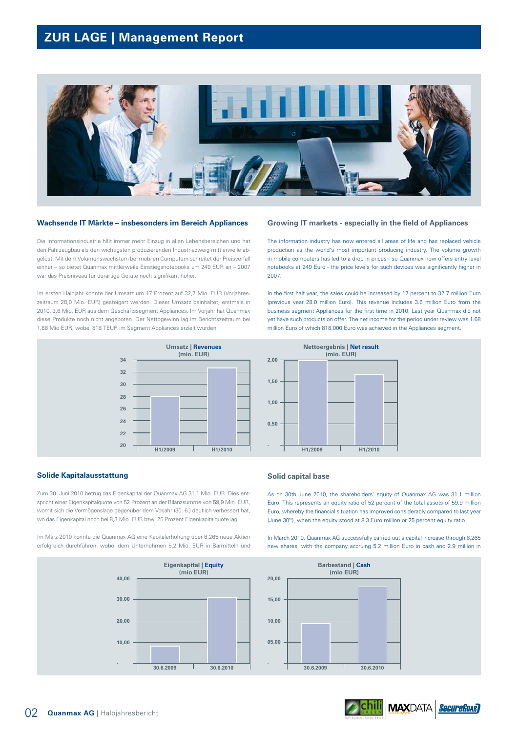### **ZUR LAGE | Management Report**



#### **Wachsende IT Märkte – insbesonders im Bereich Appliances**

Die Informationsindustrie hält immer mehr Einzug in allen Lebensbereichen und hat den Fahrzeugbau als den wichtigsten produzierenden Industriezweig mittlerweile abgelöst. Mit dem Volumenswachstum bei mobilen Computern schreitet der Preisverfall einher – so bietet Quanmax mittlerweile Einstiegsnotebooks um 249 EUR an – 2007 war das Preisniveau für derartige Geräte noch signifikant höher.

Im ersten Halbjahr konnte der Umsatz um 17 Prozent auf 32,7 Mio. EUR (Vorjahreszeitraum 28,0 Mio. EUR) gesteigert werden. Dieser Umsatz beinhaltet, erstmals in 2010, 3,6 Mio. EUR aus dem Geschäftssegment Appliances. Im Vorjahr hat Quanmax diese Produkte noch nicht angeboten. Der Nettogewinn lag im Berichtszeitraum bei 1,68 Mio EUR, wobei 818 TEUR im Segment Appliances erzielt wurden.



#### **Solide Kapitalausstattung**

Zum 30. Juni 2010 betrug das Eigenkapital der Quanmax AG 31,1 Mio. EUR. Dies entspricht einer Eigenkapitalquote von 52 Prozent an der Bilanzsumme von 59,9 Mio. EUR, womit sich die Vermögenslage gegenüber dem Vorjahr (30. 6.) deutlich verbessert hat, wo das Eigenkapital noch bei 8,3 Mio. EUR bzw. 25 Prozent Eigenkapitalquote lag.

Im März 2010 konnte die Quanmax AG eine Kapitalerhöhung über 6,265 neue Aktien erfolgreich durchführen, wobei dem Unternehmen 5,2 Mio. EUR in Barmitteln und



#### **Growing IT markets - especially in the field of Appliances**

The information industry has now entered all areas of life and has replaced vehicle production as the world's most important producing industry. The volume growth in mobile computers has led to a drop in prices - so Quanmax now offers entry level notebooks at 249 Euro - the price levels for such devices was significantly higher in 2007.

In the first half year, the sales could be increased by 17 percent to 32.7 million Euro (previous year 28.0 million Euro). This revenue includes 3.6 million Euro from the business segment Appliances for the first time in 2010. Last year Quanmax did not yet have such products on offer. The net income for the period under review was 1.68 million Euro of which 818,000 Euro was achieved in the Appliances segment.



#### **Solid capital base**

As on 30th June 2010, the shareholders' equity of Quanmax AG was 31.1 million Euro. This represents an equity ratio of 52 percent of the total assets of 59.9 million Euro, whereby the financial situation has improved considerably compared to last year (June 30<sup>th</sup>), when the equity stood at 8.3 Euro million or 25 percent equity ratio.

In March 2010, Quanmax AG successfully carried out a capital increase through 6,265 new shares, with the company accruing 5.2 million Euro in cash and 2.9 million in



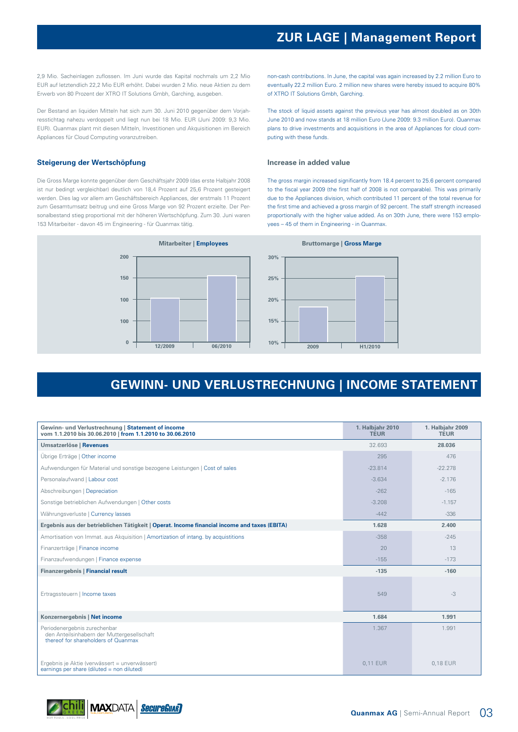2,9 Mio. Sacheinlagen zuflossen. Im Juni wurde das Kapital nochmals um 2,2 Mio EUR auf letztendlich 22,2 Mio EUR erhöht. Dabei wurden 2 Mio. neue Aktien zu dem Erwerb von 80 Prozent der XTRO IT Solutions Gmbh, Garching, ausgeben.

Der Bestand an liquiden Mitteln hat sich zum 30. Juni 2010 gegenüber dem Vorjahresstichtag nahezu verdoppelt und liegt nun bei 18 Mio. EUR (Juni 2009: 9,3 Mio. EUR). Quanmax plant mit diesen Mitteln, Investitionen und Akquisitionen im Bereich Appliances für Cloud Computing voranzutreiben.

#### **Steigerung der Wertschöpfung**

Die Gross Marge konnte gegenüber dem Geschäftsjahr 2009 (das erste Halbjahr 2008 ist nur bedingt vergleichbar) deutlich von 18,4 Prozent auf 25,6 Prozent gesteigert werden. Dies lag vor allem am Geschäftsbereich Appliances, der erstmals 11 Prozent zum Gesamtumsatz beitrug und eine Gross Marge von 92 Prozent erzielte. Der Personalbestand stieg proportional mit der höheren Wertschöpfung. Zum 30. Juni waren 153 Mitarbeiter - davon 45 im Engineering - für Quanmax tätig.

**Mitarbeiter | Employees 12/2009 06/2010 200 150 100 100 0 Bruttomarge | Gross Marge 2009 H1/2010 30% 20% 15% 10% 25%**

### **GEWINN- UND VERLUSTRECHNUNG | INCOME STATEMENT**

| Gewinn- und Verlustrechnung   Statement of income<br>vom 1.1.2010 bis 30.06.2010   from 1.1.2010 to 30.06.2010    | 1. Halbjahr 2010<br><b>TEUR</b> | 1. Halbjahr 2009<br><b>TEUR</b> |
|-------------------------------------------------------------------------------------------------------------------|---------------------------------|---------------------------------|
| Umsatzerlöse   Revenues                                                                                           | 32.693                          | 28.036                          |
| Übrige Erträge   Other income                                                                                     | 295                             | 476                             |
| Aufwendungen für Material und sonstige bezogene Leistungen   Cost of sales                                        | $-23.814$                       | $-22.278$                       |
| Personalaufwand   Labour cost                                                                                     | $-3.634$                        | $-2.176$                        |
| Abschreibungen   Depreciation                                                                                     | $-262$                          | $-165$                          |
| Sonstige betrieblichen Aufwendungen   Other costs                                                                 | $-3.208$                        | $-1.157$                        |
| Währungsverluste   Currency lasses                                                                                | $-442$                          | $-336$                          |
| Ergebnis aus der betrieblichen Tätigkeit   Operat. Income financial income and taxes (EBITA)                      | 1.628                           | 2.400                           |
| Amortisation von Immat. aus Akquisition   Amortization of intang. by acquistitions                                | $-358$                          | $-245$                          |
| Finanzerträge   Finance income                                                                                    | 20                              | 13                              |
| Finanzaufwendungen   Finance expense                                                                              | $-155$                          | $-173$                          |
| Finanzergebnis   Financial result                                                                                 | $-135$                          | $-160$                          |
| Ertragssteuern   Income taxes                                                                                     | 549                             | $-3$                            |
| Konzernergebnis   Net income                                                                                      | 1.684                           | 1.991                           |
| Periodenergebnis zurechenbar<br>den Anteilsinhabern der Muttergesellschaft<br>thereof for shareholders of Quanmax | 1.367                           | 1.991                           |
| Ergebnis je Aktie (verwässert = unverwässert)<br>earnings per share (diluted = non diluted)                       | 0.11 EUR                        | 0.18 EUR                        |



non-cash contributions. In June, the capital was again increased by 2.2 million Euro to eventually 22.2 million Euro. 2 million new shares were hereby issued to acquire 80% of XTRO IT Solutions Gmbh, Garching.

The stock of liquid assets against the previous year has almost doubled as on 30th June 2010 and now stands at 18 million Euro (June 2009: 9.3 million Euro). Quanmax plans to drive investments and acquisitions in the area of Appliances for cloud computing with these funds.

#### **Increase in added value**

The gross margin increased significantly from 18.4 percent to 25.6 percent compared to the fiscal year 2009 (the first half of 2008 is not comparable). This was primarily due to the Appliances division, which contributed 11 percent of the total revenue for the first time and achieved a gross margin of 92 percent. The staff strength increased proportionally with the higher value added. As on 30th June, there were 153 employees – 45 of them in Engineering - in Quanmax.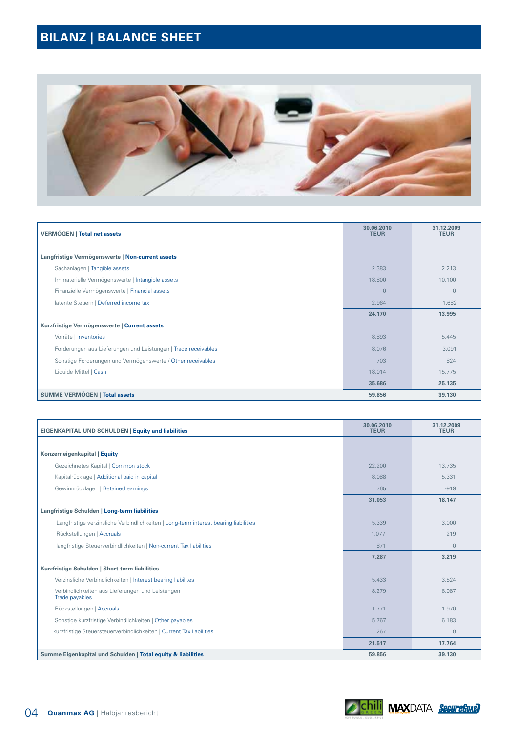# **BILANZ | BALANCE SHEET**



| <b>VERMÖGEN   Total net assets</b>                             | 30.06.2010<br><b>TEUR</b> | 31.12.2009<br><b>TEUR</b> |
|----------------------------------------------------------------|---------------------------|---------------------------|
|                                                                |                           |                           |
| Langfristige Vermögenswerte   Non-current assets               |                           |                           |
| Sachanlagen   Tangible assets                                  | 2.383                     | 2.213                     |
| Immaterielle Vermögenswerte   Intangible assets                | 18,800                    | 10.100                    |
| Finanzielle Vermögenswerte   Financial assets                  | $\overline{0}$            | $\overline{0}$            |
| latente Steuern   Deferred income tax                          | 2.964                     | 1.682                     |
|                                                                | 24.170                    | 13.995                    |
| Kurzfristige Vermögenswerte   Current assets                   |                           |                           |
| Vorräte   Inventories                                          | 8.893                     | 5.445                     |
| Forderungen aus Lieferungen und Leistungen   Trade receivables | 8.076                     | 3.091                     |
| Sonstige Forderungen und Vermögenswerte / Other receivables    | 703                       | 824                       |
| Liquide Mittel   Cash                                          | 18.014                    | 15.775                    |
|                                                                | 35.686                    | 25.135                    |
| SUMME VERMÖGEN   Total assets                                  | 59.856                    | 39.130                    |

| EIGENKAPITAL UND SCHULDEN   Equity and liabilities                                   | 30.06.2010<br><b>TEUR</b> | 31.12.2009<br><b>TEUR</b> |
|--------------------------------------------------------------------------------------|---------------------------|---------------------------|
|                                                                                      |                           |                           |
| Konzerneigenkapital   Equity                                                         |                           |                           |
| Gezeichnetes Kapital   Common stock                                                  | 22,200                    | 13.735                    |
| Kapitalrücklage   Additional paid in capital                                         | 8.088                     | 5.331                     |
| Gewinnrücklagen   Retained earnings                                                  | 765                       | $-919$                    |
|                                                                                      | 31.053                    | 18.147                    |
| Langfristige Schulden   Long-term liabilities                                        |                           |                           |
| Langfristige verzinsliche Verbindlichkeiten   Long-term interest bearing liabilities | 5.339                     | 3.000                     |
| Rückstellungen   Accruals                                                            | 1.077                     | 219                       |
| langfristige Steuerverbindlichkeiten   Non-current Tax liabilities                   | 871                       | $\circ$                   |
|                                                                                      | 7.287                     | 3.219                     |
| Kurzfristige Schulden   Short-term liabilities                                       |                           |                           |
| Verzinsliche Verbindlichkeiten   Interest bearing liabilites                         | 5.433                     | 3.524                     |
| Verbindlichkeiten aus Lieferungen und Leistungen<br>Trade payables                   | 8.279                     | 6.087                     |
| Rückstellungen   Accruals                                                            | 1.771                     | 1.970                     |
| Sonstige kurzfristige Verbindlichkeiten   Other payables                             | 5.767                     | 6.183                     |
| kurzfristige Steuersteuerverbindlichkeiten   Current Tax liabilities                 | 267                       | $\overline{0}$            |
|                                                                                      | 21.517                    | 17.764                    |
| Summe Eigenkapital und Schulden   Total equity & liabilities                         | 59.856                    | 39.130                    |

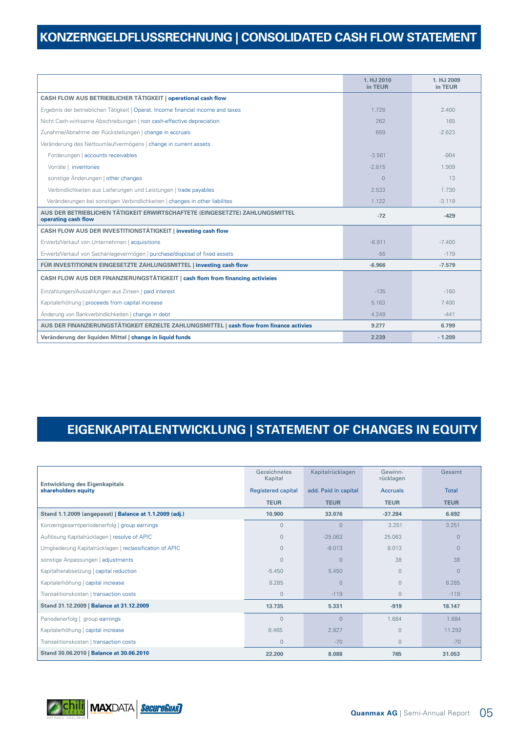## **KONZERNGELDFLUSSRECHNUNG | CONSOLIDATED CASH FLOW STATEMENT**

|                                                                                                     | 1. HJ 2010<br>in TEUR | 1. HJ 2009<br>in TEUR |
|-----------------------------------------------------------------------------------------------------|-----------------------|-----------------------|
| CASH FLOW AUS BETRIEBLICHER TÄTIGKEIT   operational cash flow                                       |                       |                       |
| Ergebnis der betrieblichen Tätigkeit   Operat. Income financial income and taxes                    | 1.728                 | 2.400                 |
| Nicht Cash-wirksame Abschreibungen   non cash-effective depreciation                                | 262                   | 165                   |
| Zunahme/Abnahme der Rückstellungen   change in accruals                                             | 659                   | $-2.623$              |
| Veränderung des Nettoumlaufvermögens   change in current assets                                     |                       |                       |
| Forderungen   accounts receivables                                                                  | $-3.561$              | $-904$                |
| Vorräte   inventories                                                                               | $-2.815$              | 1.909                 |
| sonstige Änderungen   other changes                                                                 | $\Omega$              | 13                    |
| Verbindlichkeiten aus Lieferungen und Leistungen   trade payables                                   | 2.533                 | 1.730                 |
| Veränderungen bei sonstigen Verbindlichkeiten   changes in other liabilites                         | 1.122                 | $-3.119$              |
| AUS DER BETRIEBLICHEN TÄTIGKEIT ERWIRTSCHAFTETE (EINGESETZTE) ZAHLUNGSMITTEL<br>operating cash flow | $-72$                 | $-429$                |
| CASH FLOW AUS DER INVESTITIONSTÄTIGKEIT   investing cash flow                                       |                       |                       |
| Erwerb/Verkauf von Unternehmen   acquisitions                                                       | $-6.911$              | $-7.400$              |
| Erwerb/Verkauf von Sachanlagevermögen   purchase/disposal of fixed assets                           | $-55$                 | $-179$                |
| FÜR INVESTITIONEN EINGESETZTE ZAHLUNGSMITTEL   investing cash flow                                  | $-6.966$              | $-7.579$              |
| CASH FLOW AUS DER FINANZIERUNGSTÄTIGKEIT   cash flom from financing activieies                      |                       |                       |
| Einzahlungen/Auszahlungen aus Zinsen   paid interest                                                | $-135$                | $-160$                |
| Kapitalerhöhung   proceeds from capital increase                                                    | 5.163                 | 7.400                 |
| Änderung von Bankverbindlichkeiten   change in debt                                                 | 4.249                 | $-441$                |
| AUS DER FINANZIERUNGSTÄTIGKEIT ERZIELTE ZAHLUNGSMITTEL   cash flow from finance activies            | 9.277                 | 6.799                 |
| Veränderung der liquiden Mittel   change in liquid funds                                            | 2.239                 | $-1.209$              |

## **EIGENKAPITALENTWICKLUNG | STATEMENT OF CHANGES IN EQUITY**

| Entwicklung des Eigenkapitals<br>shareholders equity     | Gezeichnetes<br>Kapital   | Kapitalrücklagen     | Gewinn-<br>rücklagen | Gesamt         |
|----------------------------------------------------------|---------------------------|----------------------|----------------------|----------------|
|                                                          | <b>Registered capital</b> | add. Paid in capital | <b>Accruals</b>      | <b>Total</b>   |
|                                                          | <b>TEUR</b>               | <b>TEUR</b>          | <b>TEUR</b>          | <b>TEUR</b>    |
| Stand 1.1.2009 (angepasst)   Balance at 1.1.2009 (adj.)  | 10.900                    | 33.076               | $-37.284$            | 6.692          |
| Konzerngesamtperiodenerfolg   group earnings             | $\Omega$                  | $\Omega$             | 3.251                | 3.251          |
| Auflösung Kapitalrücklagen   resolve of APIC             | $\Omega$                  | $-25.063$            | 25.063               | $\overline{0}$ |
| Umgliederung Kapitalrücklagen   reclassification of APIC | $\Omega$                  | $-8.013$             | 8.013                | $\Omega$       |
| sonstige Anpassungen   adjustments                       | $\Omega$                  | $\Omega$             | 38                   | 38             |
| Kapitalherabsetzung   capital reduction                  | $-5.450$                  | 5.450                | $\Omega$             | $\overline{0}$ |
| Kapitalerhöhung   capital increase                       | 8.285                     | $\mathbf{0}$         | $\mathbf{0}$         | 8.285          |
| Transaktionskosten   transaction costs                   | $\overline{0}$            | $-119$               | $\Omega$             | $-119$         |
| Stand 31.12.2009   Balance at 31.12.2009                 | 13.735                    | 5.331                | $-919$               | 18.147         |
| Periodenerfolg   group earnings                          | $\mathbf{0}$              | $\Omega$             | 1.684                | 1.684          |
| Kapitalerhöhung   capital increase                       | 8.465                     | 2.827                | $\Omega$             | 11.292         |
| Transaktionskosten   transaction costs                   | $\circ$                   | $-70$                | $\mathbf{0}$         | $-70$          |
| Stand 30.06.2010   Balance at 30.06.2010                 | 22.200                    | 8.088                | 765                  | 31.053         |

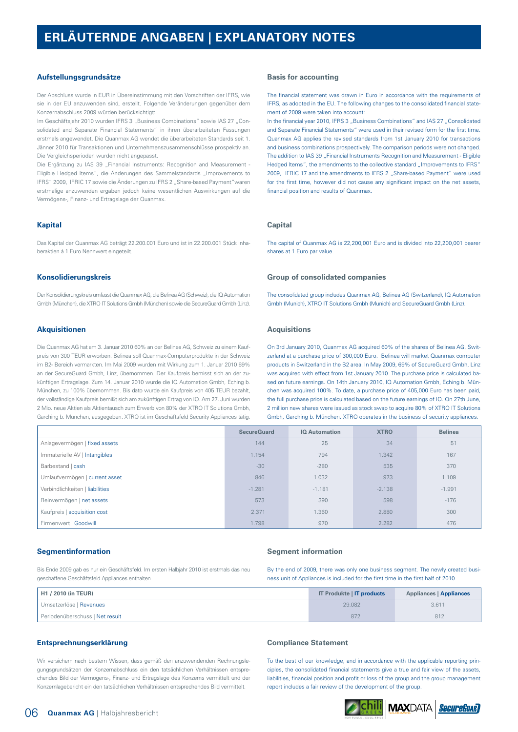## **ERLÄUTERNDE ANGABEN | EXPLANATORY NOTES**

#### **Aufstellungsgrundsätze**

Der Abschluss wurde in EUR in Übereinstimmung mit den Vorschriften der IFRS, wie sie in der EU anzuwenden sind, erstellt. Folgende Veränderungen gegenüber dem Konzernabschluss 2009 würden berücksichtigt:

Im Geschäftsjahr 2010 wurden IFRS 3 "Business Combinations" sowie IAS 27 "Consolidated and Separate Financial Statements" in ihren überarbeiteten Fassungen erstmals angewendet. Die Quanmax AG wendet die überarbeiteten Standards seit 1. Jänner 2010 für Transaktionen und Unternehmenszusammenschlüsse prospektiv an. Die Vergleichsperioden wurden nicht angepasst.

Die Ergänzung zu IAS 39 "Financial Instruments: Recognition and Measurement -Eligible Hedged Items", die Änderungen des Sammelstandards "Improvements to IFRS" 2009, IFRIC 17 sowie die Änderungen zu IFRS 2 "Share-based Payment"waren erstmalige anzuwenden ergaben jedoch keine wesentlichen Auswirkungen auf die Vermögens-, Finanz- und Ertragslage der Quanmax.

#### **Kapital**

Das Kapital der Quanmax AG beträgt 22.200.001 Euro und ist in 22.200.001 Stück Inhaberaktien á 1 Euro Nennwert eingeteilt.

#### **Konsolidierungskreis**

Der Konsolidierungskreis umfasst die Quanmax AG, die Belinea AG (Schweiz), die IQ Automation Gmbh (München), die XTRO IT Solutions Gmbh (München) sowie die SecureGuard Gmbh (Linz).

#### **Akquisitionen**

Die Quanmax AG hat am 3. Januar 2010 60% an der Belinea AG, Schweiz zu einem Kaufpreis von 300 TEUR erworben. Belinea soll Quanmax-Computerprodukte in der Schweiz im B2- Bereich vermarkten. Im Mai 2009 wurden mit Wirkung zum 1. Januar 2010 69% an der SecureGuard Gmbh, Linz, übernommen. Der Kaufpreis bemisst sich an der zukünftigen Ertragslage. Zum 14. Januar 2010 wurde die IQ Automation Gmbh, Eching b. München, zu 100% übernommen. Bis dato wurde ein Kaufpreis von 405 TEUR bezahlt, der vollständige Kaufpreis bemißt sich am zukünftigen Ertrag von IQ. Am 27. Juni wurden 2 Mio. neue Aktien als Aktientausch zum Erwerb von 80% der XTRO IT Solutions Gmbh, Garching b. München, ausgegeben. XTRO ist im Geschäftsfeld Security Appliances tätig.

#### **Basis for accounting**

The financial statement was drawn in Euro in accordance with the requirements of IFRS, as adopted in the EU. The following changes to the consolidated financial statement of 2009 were taken into account:

In the financial year 2010, IFRS 3 "Business Combinations" and IAS 27 "Consolidated and Separate Financial Statements" were used in their revised form for the first time. Quanmax AG applies the revised standards from 1st January 2010 for transactions and business combinations prospectively. The comparison periods were not changed. The addition to IAS 39 "Financial Instruments Recognition and Measurement - Eligible Hedged Items", the amendments to the collective standard "Improvements to IFRS" 2009, IFRIC 17 and the amendments to IFRS 2 "Share-based Payment" were used for the first time, however did not cause any significant impact on the net assets, financial position and results of Quanmax.

#### **Capital**

The capital of Quanmax AG is 22,200,001 Euro and is divided into 22,200,001 bearer shares at 1 Euro par value.

#### **Group of consolidated companies**

The consolidated group includes Quanmax AG, Belinea AG (Switzerland), IQ Automation Gmbh (Munich), XTRO IT Solutions Gmbh (Munich) and SecureGuard Gmbh (Linz).

#### **Acquisitions**

On 3rd January 2010, Quanmax AG acquired 60% of the shares of Belinea AG, Switzerland at a purchase price of 300,000 Euro. Belinea will market Quanmax computer products in Switzerland in the B2 area. In May 2009, 69% of SecureGuard Gmbh, Linz was acquired with effect from 1st January 2010. The purchase price is calculated based on future earnings. On 14th January 2010, IQ Automation Gmbh, Eching b. München was acquired 100%. To date, a purchase price of 405,000 Euro has been paid, the full purchase price is calculated based on the future earnings of IQ. On 27th June, 2 million new shares were issued as stock swap to acquire 80% of XTRO IT Solutions Gmbh, Garching b. München. XTRO operates in the business of security appliances.

|                                 | <b>SecureGuard</b> | <b>IQ Automation</b> | <b>XTRO</b> | <b>Belinea</b> |
|---------------------------------|--------------------|----------------------|-------------|----------------|
| Anlagevermögen   fixed assets   | 144                | 25                   | 34          | 51             |
| Immaterielle AV   Intangibles   | 1.154              | 794                  | 1.342       | 167            |
| Barbestand   cash               | $-30$              | $-280$               | 535         | 370            |
| Umlaufvermögen   current asset  | 846                | 1.032                | 973         | 1.109          |
| Verbindlichkeiten   liabilities | $-1.281$           | $-1.181$             | $-2.138$    | $-1.991$       |
| Reinvermögen   net assets       | 573                | 390                  | 598         | $-176$         |
| Kaufpreis   acquisition cost    | 2.371              | 1.360                | 2.880       | 300            |
| Firmenwert   Goodwill           | 1.798              | 970                  | 2.282       | 476            |

#### **Segmentinformation**

Bis Ende 2009 gab es nur ein Geschäftsfeld. Im ersten Halbjahr 2010 ist erstmals das neu geschaffene Geschäftsfeld Appliances enthalten.

#### **Segment information**

By the end of 2009, there was only one business segment. The newly created business unit of Appliances is included for the first time in the first half of 2010.

| H1 / 2010 (in TEUR)             | <b>IT Produkte   IT products</b> | <b>Appliances   Appliances</b> |  |
|---------------------------------|----------------------------------|--------------------------------|--|
| Umsatzerlöse   Revenues         | 29,082                           | 3.611                          |  |
| Periodenüberschuss   Net result | 872                              | 812                            |  |

#### **Entsprechnungserklärung**

Wir versichern nach bestem Wissen, dass gemäß den anzuwendenden Rechnungslegungsgrundsätzen der Konzernabschluss ein den tatsächlichen Verhältnissen entsprechendes Bild der Vermögens-, Finanz- und Ertragslage des Konzerns vermittelt und der Konzernlagebericht ein den tatsächlichen Verhältnissen entsprechendes Bild vermittelt.

#### **Compliance Statement**

To the best of our knowledge, and in accordance with the applicable reporting principles, the consolidated financial statements give a true and fair view of the assets, liabilities, financial position and profit or loss of the group and the group management report includes a fair review of the development of the group.

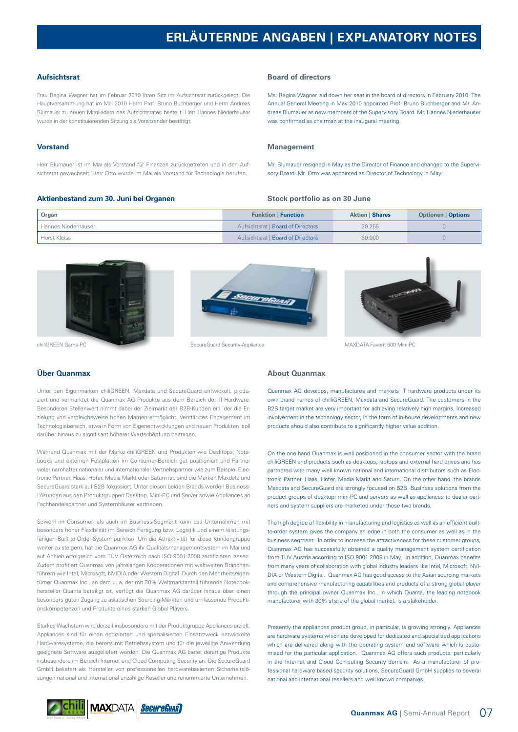## **ERLÄUTERNDE ANGABEN | EXPLANATORY NOTES**

#### **Aufsichtsrat**

Frau Regina Wagner hat im Februar 2010 Ihren Sitz im Aufsichtsrat zurückgelegt. Die Hauptversammlung hat im Mai 2010 Herrn Prof. Bruno Buchberger und Herrn Andreas Blumauer zu neuen Mitgliedern des Aufsichtsrates bestellt. Herr Hannes Niederhauser wurde in der konstituierenden Sitzung als Vorsitzender bestätigt.

#### **Vorstand**

Herr Blumauer ist im Mai als Vorstand für Finanzen zurückgetreten und in den Aufsichtsrat gewechselt. Herr Otto wurde im Mai als Vorstand für Technologie berufen.

#### **Aktienbestand zum 30. Juni bei Organen**

#### **Board of directors**

Ms. Regina Wagner laid down her seat in the board of directors in February 2010. The Annual General Meeting in May 2010 appointed Prof. Bruno Buchberger and Mr. Andreas Blumauer as new members of the Supervisory Board. Mr. Hannes Niederhauser was confirmed as chairman at the inaugural meeting.

#### **Management**

Mr. Blumauer resigned in May as the Director of Finance and changed to the Supervisory Board. Mr. Otto was appointed as Director of Technology in May.

#### **Stock portfolio as on 30 June**

| Organ               | <b>Funktion   Function</b>        | <b>Aktien   Shares</b> | <b>Optionen   Options</b> |
|---------------------|-----------------------------------|------------------------|---------------------------|
| Hannes Niederhauser | Aufsichtsrat   Board of Directors | 30.255                 |                           |
| Horst Kleiss        | Aufsichtsrat   Board of Directors | 30,000                 |                           |







chiliGREEN Game-PC SecureGuard Security-Appliance MAXDATA Favorit 500 Mini-PC

#### **Über Quanmax**

Unter den Eigenmarken chiliGREEN, Maxdata und SecureGuard entwickelt, produziert und vermarktet die Quanmax AG Produkte aus dem Bereich der IT-Hardware. Besonderen Stellenwert nimmt dabei der Zielmarkt der B2B-Kunden ein, der die Erzielung von vergleichsweise hohen Margen ermöglicht. Verstärktes Engagement im Technologiebereich, etwa in Form von Eigenentwicklungen und neuen Produkten soll darüber hinaus zu signifikant höherer Wertschöpfung beitragen.

Während Quanmax mit der Marke chiliGREEN und Produkten wie Desktops, Notebooks und externen Festplatten im Consumer-Bereich gut positioniert und Partner vieler namhafter nationaler und internationaler Vertriebspartner wie zum Beispiel Electronic Partner, Haas, Hofer, Media Markt oder Saturn ist, sind die Marken Maxdata und SecureGuard stark auf B2B fokussiert. Unter diesen beiden Brands werden Business-Lösungen aus den Produktgruppen Desktop, Mini-PC und Server sowie Appliances an Fachhandelspartner und Systemhäuser vertrieben.

Sowohl im Consumer- als auch im Business-Segment kann das Unternehmen mit besonders hoher Flexibilität im Bereich Fertigung bzw. Logistik und einem leistungsfähigen Built-to-Order-System punkten. Um die Attraktivität für diese Kundengruppe weiter zu steigern, hat die Quanmax AG ihr Qualitätsmanagementsystem im Mai und auf Anhieb erfolgreich vom TÜV Österreich nach ISO 9001:2008 zertifizieren lassen. Zudem profitiert Quanmax von jahrelangen Kooperationen mit weltweiten Branchenführern wie Intel, Microsoft, NVIDIA oder Western Digital. Durch den Mehrheitseigentümer Quanmax Inc., an dem u. a. der mit 30% Weltmarktanteil führende Notebookhersteller Quanta beteiligt ist, verfügt die Quanmax AG darüber hinaus über einen besonders guten Zugang zu asiatischen Sourcing-Märkten und umfassende Produktionskompetenzen und Produkte eines starken Global Players.

Starkes Wachstum wird derzeit insbesondere mit der Produktgruppe Appliances erzielt. Appliances sind für einen dedizierten und spezialisierten Einsatzzweck entwickelte Hardwaresysteme, die bereits mit Betriebssystem und für die jeweilige Anwendung geeignete Software ausgeliefert werden. Die Quanmax AG bietet derartige Produkte insbesondere im Bereich Internet und Cloud Computing-Security an: Die SecureGuard GmbH beliefert als Hersteller von professionellen hardwarebasierten Sicherheitslösungen national und international unzählige Reseller und renommierte Unternehmen.

#### **About Quanmax**

Quanmax AG develops, manufactures and markets IT hardware products under its own brand names of chilliGREEN, Maxdata and SecureGuard. The customers in the B2B target market are very important for achieving relatively high margins. Increased involvement in the technology sector, in the form of in-house developments and new products should also contribute to significantly higher value addition.

On the one hand Quanmax is well positioned in the consumer sector with the brand chiliGREEN and products such as desktops, laptops and external hard drives and has partnered with many well known national and international distributors such as Electronic Partner, Haas, Hofer, Media Markt and Saturn. On the other hand, the brands Maxdata and SecureGuard are strongly focused on B2B. Business solutions from the product groups of desktop, mini-PC and servers as well as appliances to dealer partners and system suppliers are marketed under these two brands.

The high degree of flexibility in manufacturing and logistics as well as an efficient builtto-order system gives the company an edge in both the consumer as well as in the business segment. In order to increase the attractiveness for these customer groups, Quanmax AG has successfully obtained a quality management system certification from TUV Austria according to ISO 9001:2008 in May. In addition, Quanmax benefits from many years of collaboration with global industry leaders like Intel, Microsoft, NVI-DIA or Western Digital. Quanmax AG has good access to the Asian sourcing markets and comprehensive manufacturing capabilities and products of a strong global player through the principal owner Quanmax Inc., in which Quanta, the leading notebook manufacturer with 30% share of the global market, is a stakeholder.

Presently the appliances product group, in particular, is growing strongly. Appliances are hardware systems which are developed for dedicated and specialised applications which are delivered along with the operating system and software which is customised for the particular application. Quanmax AG offers such products, particularly in the Internet and Cloud Computing Security domain: As a manufacturer of professional hardware based security solutions, SecureGuard GmbH supplies to several national and international resellers and well known companies.